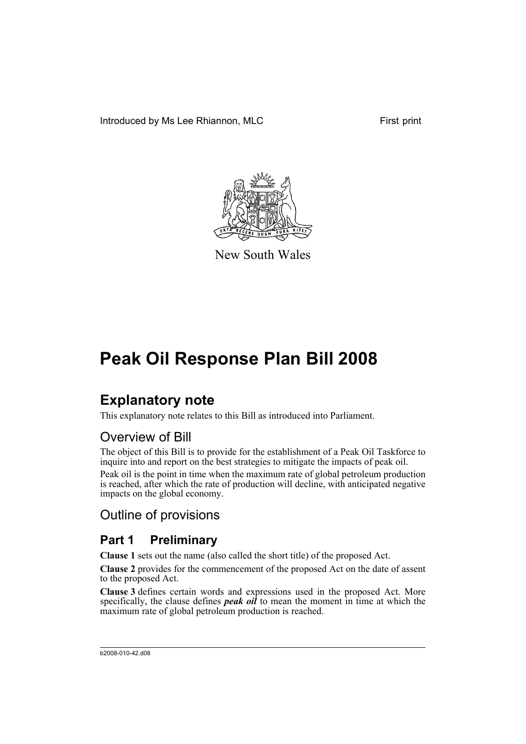Introduced by Ms Lee Rhiannon, MLC First print



New South Wales

# **Peak Oil Response Plan Bill 2008**

## **Explanatory note**

This explanatory note relates to this Bill as introduced into Parliament.

## Overview of Bill

The object of this Bill is to provide for the establishment of a Peak Oil Taskforce to inquire into and report on the best strategies to mitigate the impacts of peak oil.

Peak oil is the point in time when the maximum rate of global petroleum production is reached, after which the rate of production will decline, with anticipated negative impacts on the global economy.

## Outline of provisions

## **Part 1 Preliminary**

**Clause 1** sets out the name (also called the short title) of the proposed Act.

**Clause 2** provides for the commencement of the proposed Act on the date of assent to the proposed Act.

**Clause 3** defines certain words and expressions used in the proposed Act. More specifically, the clause defines *peak oil* to mean the moment in time at which the maximum rate of global petroleum production is reached.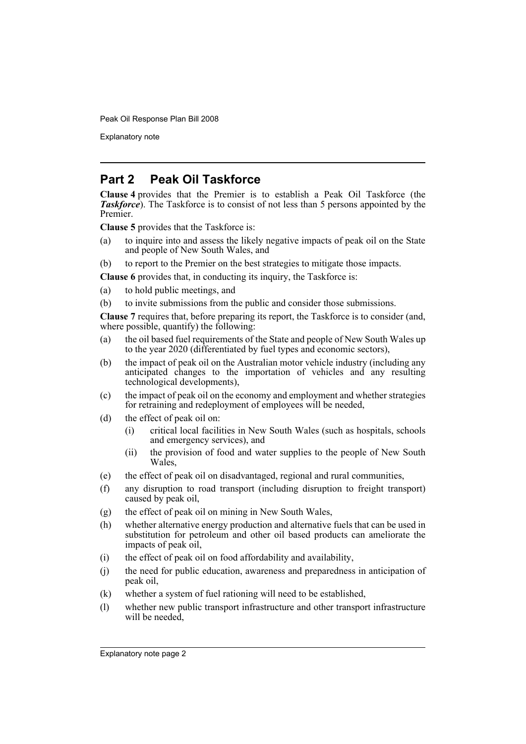Peak Oil Response Plan Bill 2008

Explanatory note

#### **Part 2 Peak Oil Taskforce**

**Clause 4** provides that the Premier is to establish a Peak Oil Taskforce (the *Taskforce*). The Taskforce is to consist of not less than 5 persons appointed by the Premier.

**Clause 5** provides that the Taskforce is:

- (a) to inquire into and assess the likely negative impacts of peak oil on the State and people of New South Wales, and
- (b) to report to the Premier on the best strategies to mitigate those impacts.
- **Clause 6** provides that, in conducting its inquiry, the Taskforce is:
- (a) to hold public meetings, and
- (b) to invite submissions from the public and consider those submissions.

**Clause 7** requires that, before preparing its report, the Taskforce is to consider (and, where possible, quantify) the following:

- (a) the oil based fuel requirements of the State and people of New South Wales up to the year 2020 (differentiated by fuel types and economic sectors),
- (b) the impact of peak oil on the Australian motor vehicle industry (including any anticipated changes to the importation of vehicles and any resulting technological developments),
- (c) the impact of peak oil on the economy and employment and whether strategies for retraining and redeployment of employees will be needed,
- (d) the effect of peak oil on:
	- (i) critical local facilities in New South Wales (such as hospitals, schools and emergency services), and
	- (ii) the provision of food and water supplies to the people of New South Wales,
- (e) the effect of peak oil on disadvantaged, regional and rural communities,
- (f) any disruption to road transport (including disruption to freight transport) caused by peak oil,
- (g) the effect of peak oil on mining in New South Wales,
- (h) whether alternative energy production and alternative fuels that can be used in substitution for petroleum and other oil based products can ameliorate the impacts of peak oil,
- (i) the effect of peak oil on food affordability and availability,
- (j) the need for public education, awareness and preparedness in anticipation of peak oil,
- (k) whether a system of fuel rationing will need to be established,
- (l) whether new public transport infrastructure and other transport infrastructure will be needed,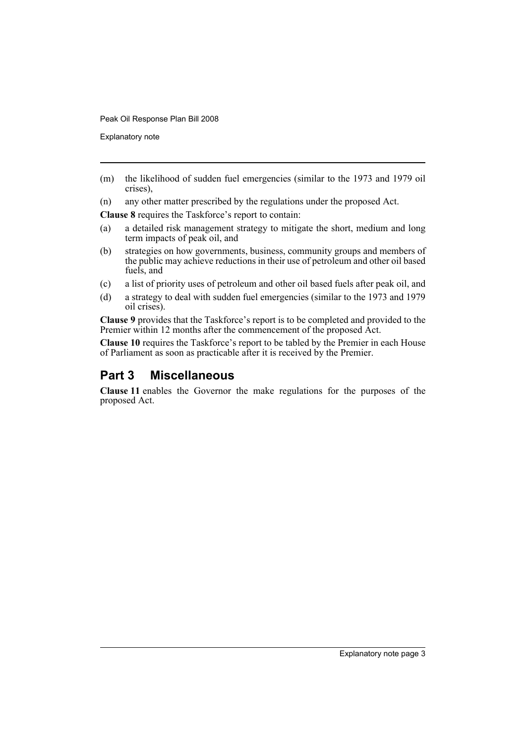Peak Oil Response Plan Bill 2008

Explanatory note

(m) the likelihood of sudden fuel emergencies (similar to the 1973 and 1979 oil crises),

(n) any other matter prescribed by the regulations under the proposed Act.

**Clause 8** requires the Taskforce's report to contain:

- (a) a detailed risk management strategy to mitigate the short, medium and long term impacts of peak oil, and
- (b) strategies on how governments, business, community groups and members of the public may achieve reductions in their use of petroleum and other oil based fuels, and
- (c) a list of priority uses of petroleum and other oil based fuels after peak oil, and
- (d) a strategy to deal with sudden fuel emergencies (similar to the 1973 and 1979 oil crises).

**Clause 9** provides that the Taskforce's report is to be completed and provided to the Premier within 12 months after the commencement of the proposed Act.

**Clause 10** requires the Taskforce's report to be tabled by the Premier in each House of Parliament as soon as practicable after it is received by the Premier.

### **Part 3 Miscellaneous**

**Clause 11** enables the Governor the make regulations for the purposes of the proposed Act.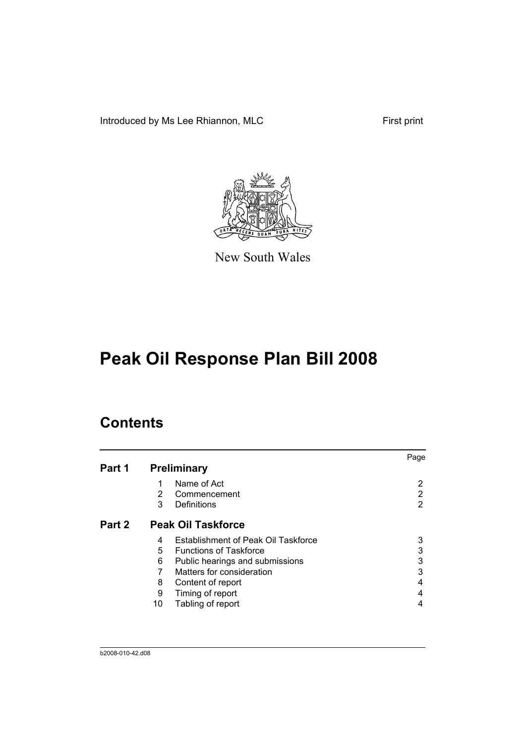Introduced by Ms Lee Rhiannon, MLC First print



New South Wales

# **Peak Oil Response Plan Bill 2008**

## **Contents**

|        |    |                                     | Page |
|--------|----|-------------------------------------|------|
| Part 1 |    | <b>Preliminary</b>                  |      |
|        | 1  | Name of Act                         | 2    |
|        | 2  | Commencement                        | 2    |
|        | 3  | Definitions                         | 2    |
| Part 2 |    | <b>Peak Oil Taskforce</b>           |      |
|        | 4  | Establishment of Peak Oil Taskforce | 3    |
|        | 5  | <b>Functions of Taskforce</b>       | 3    |
|        | 6  | Public hearings and submissions     | 3    |
|        |    | Matters for consideration           | 3    |
|        | 8  | Content of report                   | 4    |
|        | 9  | Timing of report                    |      |
|        | 10 | Tabling of report                   |      |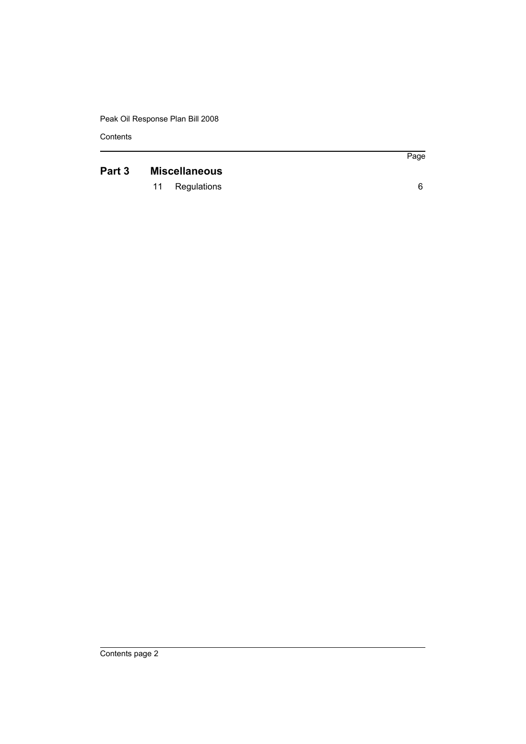Peak Oil Response Plan Bill 2008

**Contents** 

## **[Part 3 Miscellaneous](#page-11-0)**

[11 Regulations 6](#page-11-1)

Page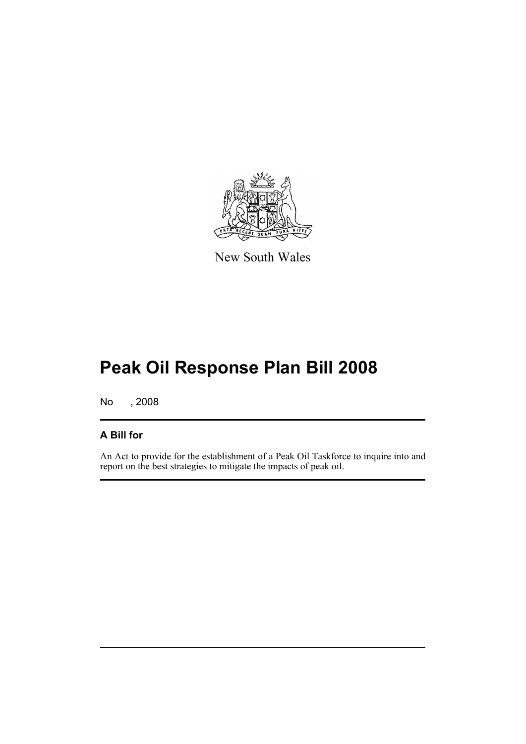

New South Wales

# **Peak Oil Response Plan Bill 2008**

No , 2008

#### **A Bill for**

An Act to provide for the establishment of a Peak Oil Taskforce to inquire into and report on the best strategies to mitigate the impacts of peak oil.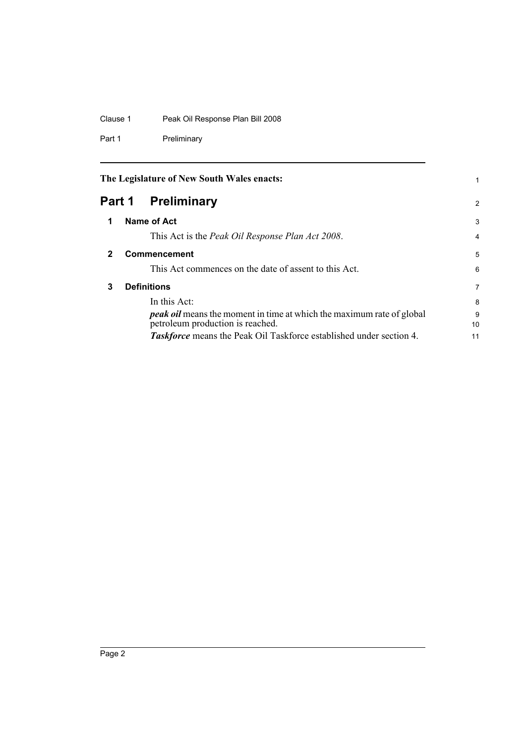#### Clause 1 Peak Oil Response Plan Bill 2008

Part 1 Preliminary

<span id="page-7-3"></span><span id="page-7-2"></span><span id="page-7-1"></span><span id="page-7-0"></span>

|        | The Legislature of New South Wales enacts:                                                                       |         |
|--------|------------------------------------------------------------------------------------------------------------------|---------|
| Part 1 | <b>Preliminary</b>                                                                                               | 2       |
| 1      | Name of Act                                                                                                      | 3       |
|        | This Act is the <i>Peak Oil Response Plan Act 2008</i> .                                                         | 4       |
| 2      | <b>Commencement</b>                                                                                              | 5       |
|        | This Act commences on the date of assent to this Act.                                                            | 6       |
| 3      | <b>Definitions</b>                                                                                               | 7       |
|        | In this Act:                                                                                                     | 8       |
|        | <b>peak oil</b> means the moment in time at which the maximum rate of global<br>petroleum production is reached. | 9<br>10 |
|        | <b>Taskforce</b> means the Peak Oil Taskforce established under section 4.                                       | 11      |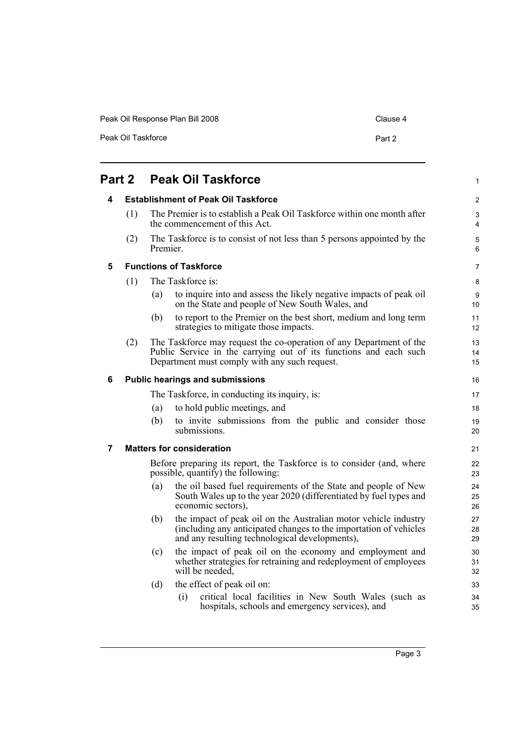| Peak Oil Response Plan Bill 2008 | Clause 4 |
|----------------------------------|----------|
| Peak Oil Taskforce               | Part 2   |

<span id="page-8-4"></span><span id="page-8-3"></span><span id="page-8-2"></span><span id="page-8-1"></span><span id="page-8-0"></span>

| Part 2 |                                                                                                             |                                            | <b>Peak Oil Taskforce</b>                                                                                                                                                                 |                |
|--------|-------------------------------------------------------------------------------------------------------------|--------------------------------------------|-------------------------------------------------------------------------------------------------------------------------------------------------------------------------------------------|----------------|
| 4      |                                                                                                             | <b>Establishment of Peak Oil Taskforce</b> |                                                                                                                                                                                           | 2              |
|        | (1)                                                                                                         |                                            | The Premier is to establish a Peak Oil Taskforce within one month after<br>the commencement of this Act.                                                                                  | 3<br>4         |
|        | (2)                                                                                                         | Premier.                                   | The Taskforce is to consist of not less than 5 persons appointed by the                                                                                                                   | 5<br>6         |
| 5      | <b>Functions of Taskforce</b>                                                                               |                                            |                                                                                                                                                                                           | 7              |
|        | (1)                                                                                                         |                                            | The Taskforce is:                                                                                                                                                                         | 8              |
|        |                                                                                                             | (a)                                        | to inquire into and assess the likely negative impacts of peak oil<br>on the State and people of New South Wales, and                                                                     | 9<br>10        |
|        |                                                                                                             | (b)                                        | to report to the Premier on the best short, medium and long term<br>strategies to mitigate those impacts.                                                                                 | 11<br>12       |
|        | (2)                                                                                                         |                                            | The Taskforce may request the co-operation of any Department of the<br>Public Service in the carrying out of its functions and each such<br>Department must comply with any such request. | 13<br>14<br>15 |
| 6      |                                                                                                             |                                            | <b>Public hearings and submissions</b>                                                                                                                                                    | 16             |
|        |                                                                                                             |                                            | The Taskforce, in conducting its inquiry, is:                                                                                                                                             | 17             |
|        |                                                                                                             | (a)                                        | to hold public meetings, and                                                                                                                                                              | 18             |
|        |                                                                                                             | (b)                                        | to invite submissions from the public and consider those<br>submissions.                                                                                                                  | 19<br>20       |
| 7      |                                                                                                             |                                            | <b>Matters for consideration</b>                                                                                                                                                          | 21             |
|        | Before preparing its report, the Taskforce is to consider (and, where<br>possible, quantify) the following: |                                            | 22<br>23                                                                                                                                                                                  |                |
|        |                                                                                                             | (a)                                        | the oil based fuel requirements of the State and people of New<br>South Wales up to the year 2020 (differentiated by fuel types and<br>economic sectors),                                 | 24<br>25<br>26 |
|        |                                                                                                             | (b)                                        | the impact of peak oil on the Australian motor vehicle industry<br>(including any anticipated changes to the importation of vehicles<br>and any resulting technological developments),    | 27<br>28<br>29 |
|        |                                                                                                             | (c)                                        | the impact of peak oil on the economy and employment and<br>whether strategies for retraining and redeployment of employees<br>will be needed,                                            | 30<br>31<br>32 |
|        |                                                                                                             | (d)                                        | the effect of peak oil on:                                                                                                                                                                | 33             |
|        |                                                                                                             |                                            | critical local facilities in New South Wales (such as<br>(i)<br>hospitals, schools and emergency services), and                                                                           | 34<br>35       |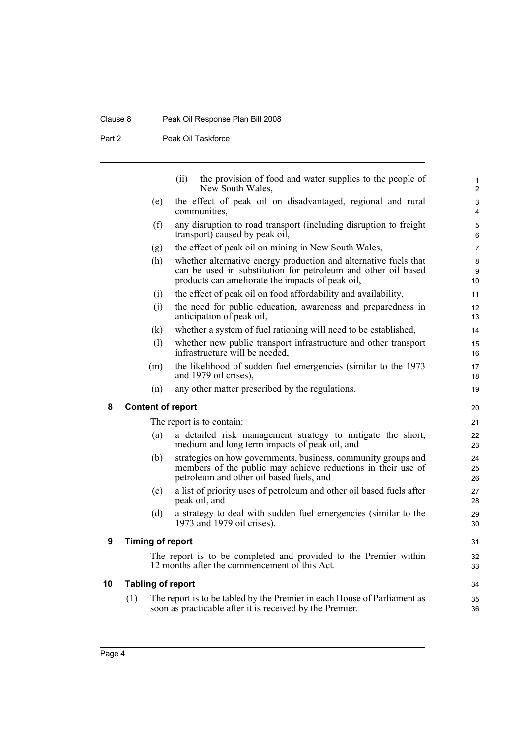#### Clause 8 Peak Oil Response Plan Bill 2008

Part 2 Peak Oil Taskforce

|   |                          | (ii)<br>the provision of food and water supplies to the people of<br>New South Wales,                                                                                                 | $\mathbf{1}$<br>$\overline{2}$ |
|---|--------------------------|---------------------------------------------------------------------------------------------------------------------------------------------------------------------------------------|--------------------------------|
|   | (e)                      | the effect of peak oil on disadvantaged, regional and rural<br>communities,                                                                                                           | 3<br>4                         |
|   | (f)                      | any disruption to road transport (including disruption to freight<br>transport) caused by peak oil,                                                                                   | 5<br>6                         |
|   | (g)                      | the effect of peak oil on mining in New South Wales,                                                                                                                                  | 7                              |
|   | (h)                      | whether alternative energy production and alternative fuels that<br>can be used in substitution for petroleum and other oil based<br>products can ameliorate the impacts of peak oil, | 8<br>9<br>10                   |
|   | (i)                      | the effect of peak oil on food affordability and availability,                                                                                                                        | 11                             |
|   | (i)                      | the need for public education, awareness and preparedness in<br>anticipation of peak oil,                                                                                             | 12<br>13                       |
|   | (k)                      | whether a system of fuel rationing will need to be established,                                                                                                                       | 14                             |
|   | (1)                      | whether new public transport infrastructure and other transport<br>infrastructure will be needed,                                                                                     | 15<br>16                       |
|   | (m)                      | the likelihood of sudden fuel emergencies (similar to the 1973<br>and 1979 oil crises),                                                                                               | 17<br>18                       |
|   | (n)                      | any other matter prescribed by the regulations.                                                                                                                                       | 19                             |
| 8 | <b>Content of report</b> |                                                                                                                                                                                       | 20                             |
|   |                          | The report is to contain:                                                                                                                                                             | 21                             |
|   | (a)                      | a detailed risk management strategy to mitigate the short,<br>medium and long term impacts of peak oil, and                                                                           | 22<br>23                       |
|   | (b)                      | strategies on how governments, business, community groups and<br>members of the public may achieve reductions in their use of<br>petroleum and other oil based fuels, and             | 24<br>25<br>26                 |
|   | (c)                      | a list of priority uses of petroleum and other oil based fuels after<br>peak oil, and                                                                                                 | 27<br>28                       |
|   | (d)                      | a strategy to deal with sudden fuel emergencies (similar to the<br>1973 and 1979 oil crises).                                                                                         | 29<br>30                       |
| 9 | <b>Timing of report</b>  |                                                                                                                                                                                       | 31                             |
|   |                          | The report is to be completed and provided to the Premier within<br>12 months after the commencement of this Act.                                                                     | 32<br>33                       |
| 0 | <b>Tabling of report</b> |                                                                                                                                                                                       | 34                             |
|   | (1)                      | The report is to be tabled by the Premier in each House of Parliament as<br>soon as practicable after it is received by the Premier.                                                  | 35<br>36                       |
|   |                          |                                                                                                                                                                                       |                                |

<span id="page-9-2"></span><span id="page-9-1"></span><span id="page-9-0"></span>**10 Tabling of report**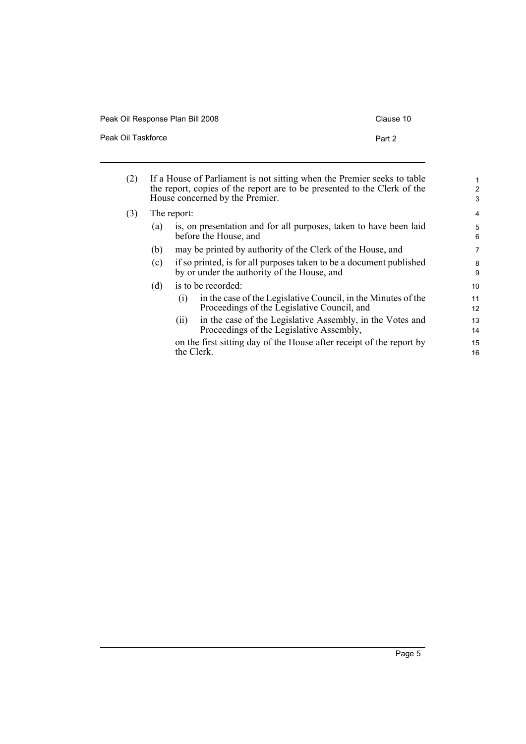| Peak Oil Response Plan Bill 2008 | Clause 10 |
|----------------------------------|-----------|
| Peak Oil Taskforce               | Part 2    |

| (2) |             |                                                                                                                    | If a House of Parliament is not sitting when the Premier seeks to table<br>the report, copies of the report are to be presented to the Clerk of the<br>House concerned by the Premier. | $\mathbf{1}$<br>$\overline{2}$<br>3 |
|-----|-------------|--------------------------------------------------------------------------------------------------------------------|----------------------------------------------------------------------------------------------------------------------------------------------------------------------------------------|-------------------------------------|
| (3) | The report: |                                                                                                                    |                                                                                                                                                                                        | 4                                   |
|     | (a)         |                                                                                                                    | is, on presentation and for all purposes, taken to have been laid<br>before the House, and                                                                                             | 5<br>6                              |
|     | (b)         |                                                                                                                    | may be printed by authority of the Clerk of the House, and                                                                                                                             | 7                                   |
|     | (c)         | if so printed, is for all purposes taken to be a document published<br>by or under the authority of the House, and |                                                                                                                                                                                        | 8<br>9                              |
|     | (d)         |                                                                                                                    | is to be recorded:                                                                                                                                                                     | 10                                  |
|     |             | (1)                                                                                                                | in the case of the Legislative Council, in the Minutes of the<br>Proceedings of the Legislative Council, and                                                                           | 11<br>$12 \overline{ }$             |
|     |             | (11)                                                                                                               | in the case of the Legislative Assembly, in the Votes and<br>Proceedings of the Legislative Assembly,                                                                                  | 13<br>14                            |
|     |             |                                                                                                                    | on the first sitting day of the House after receipt of the report by<br>the Clerk.                                                                                                     | 15<br>16                            |